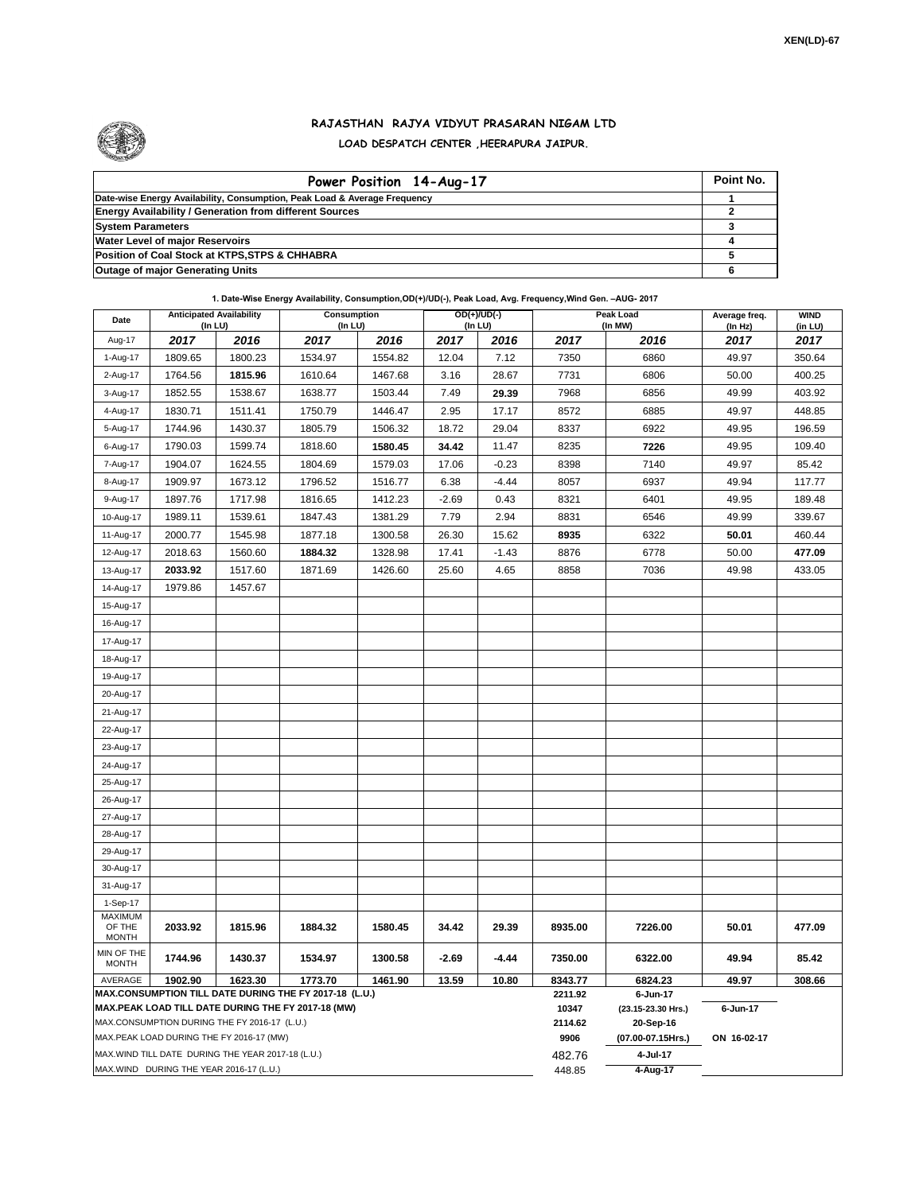

## **RAJASTHAN RAJYA VIDYUT PRASARAN NIGAM LTD LOAD DESPATCH CENTER ,HEERAPURA JAIPUR.**

| Power Position 14-Aug-17                                                  | Point No. |
|---------------------------------------------------------------------------|-----------|
| Date-wise Energy Availability, Consumption, Peak Load & Average Frequency |           |
| <b>Energy Availability / Generation from different Sources</b>            |           |
| <b>System Parameters</b>                                                  |           |
| <b>Water Level of major Reservoirs</b>                                    |           |
| Position of Coal Stock at KTPS, STPS & CHHABRA                            |           |
| <b>Outage of major Generating Units</b>                                   |           |

## **1. Date-Wise Energy Availability, Consumption,OD(+)/UD(-), Peak Load, Avg. Frequency,Wind Gen. –AUG- 2017**

| Date                       | <b>Anticipated Availability</b><br>(In LU)        |         | Consumption<br>(In LU)                                            |                  |                                | $OD(+)/UD(-)$<br>(In LU) |         | Peak Load<br>(In MW) | Average freq.<br>(In Hz) | <b>WIND</b><br>(in LU) |
|----------------------------|---------------------------------------------------|---------|-------------------------------------------------------------------|------------------|--------------------------------|--------------------------|---------|----------------------|--------------------------|------------------------|
| Aug-17                     | 2017                                              | 2016    | 2017                                                              | 2016             | 2017                           | 2016                     | 2017    | 2016                 | 2017                     | 2017                   |
| 1-Aug-17                   | 1809.65                                           | 1800.23 | 1534.97                                                           | 1554.82          | 12.04                          | 7.12                     | 7350    | 6860                 | 49.97                    | 350.64                 |
| 2-Aug-17                   | 1764.56                                           | 1815.96 | 1610.64                                                           | 1467.68          | 3.16                           | 28.67                    | 7731    | 6806                 | 50.00                    | 400.25                 |
| 3-Aug-17                   | 1852.55                                           | 1538.67 | 1638.77                                                           | 1503.44          | 7.49                           | 29.39                    | 7968    | 6856                 | 49.99                    | 403.92                 |
| 4-Aug-17                   | 1830.71                                           | 1511.41 | 1750.79                                                           | 1446.47          | 2.95                           | 17.17                    | 8572    | 6885                 | 49.97                    | 448.85                 |
| 5-Aug-17                   | 1744.96                                           | 1430.37 | 1805.79                                                           | 1506.32          | 18.72                          | 29.04                    | 8337    | 6922                 | 49.95                    | 196.59                 |
| 6-Aug-17                   | 1790.03                                           | 1599.74 | 1818.60                                                           | 1580.45          | 34.42                          | 11.47                    | 8235    | 7226                 | 49.95                    | 109.40                 |
| 7-Aug-17                   | 1904.07                                           | 1624.55 | 1804.69                                                           | 1579.03          | 17.06                          | $-0.23$                  | 8398    | 7140                 | 49.97                    | 85.42                  |
| 8-Aug-17                   | 1909.97                                           | 1673.12 | 1796.52                                                           | 1516.77          | 6.38                           | $-4.44$                  | 8057    | 6937                 | 49.94                    | 117.77                 |
| 9-Aug-17                   | 1897.76                                           | 1717.98 | 1816.65                                                           | 1412.23          | $-2.69$                        | 0.43                     | 8321    | 6401                 | 49.95                    | 189.48                 |
| 10-Aug-17                  | 1989.11                                           | 1539.61 | 1847.43                                                           | 1381.29          | 7.79                           | 2.94                     | 8831    | 6546                 | 49.99                    | 339.67                 |
| 11-Aug-17                  | 2000.77                                           | 1545.98 | 1877.18                                                           | 1300.58          | 26.30                          | 15.62                    | 8935    | 6322                 | 50.01                    | 460.44                 |
| 12-Aug-17                  | 2018.63                                           | 1560.60 | 1884.32                                                           | 1328.98          | 17.41                          | $-1.43$                  | 8876    | 6778                 | 50.00                    | 477.09                 |
| 13-Aug-17                  | 2033.92                                           | 1517.60 | 1871.69                                                           | 1426.60          | 25.60                          | 4.65                     | 8858    | 7036                 | 49.98                    | 433.05                 |
| 14-Aug-17                  | 1979.86                                           | 1457.67 |                                                                   |                  |                                |                          |         |                      |                          |                        |
| 15-Aug-17                  |                                                   |         |                                                                   |                  |                                |                          |         |                      |                          |                        |
| 16-Aug-17                  |                                                   |         |                                                                   |                  |                                |                          |         |                      |                          |                        |
| 17-Aug-17                  |                                                   |         |                                                                   |                  |                                |                          |         |                      |                          |                        |
| 18-Aug-17                  |                                                   |         |                                                                   |                  |                                |                          |         |                      |                          |                        |
| 19-Aug-17                  |                                                   |         |                                                                   |                  |                                |                          |         |                      |                          |                        |
| 20-Aug-17                  |                                                   |         |                                                                   |                  |                                |                          |         |                      |                          |                        |
| 21-Aug-17                  |                                                   |         |                                                                   |                  |                                |                          |         |                      |                          |                        |
| 22-Aug-17                  |                                                   |         |                                                                   |                  |                                |                          |         |                      |                          |                        |
| 23-Aug-17                  |                                                   |         |                                                                   |                  |                                |                          |         |                      |                          |                        |
| 24-Aug-17                  |                                                   |         |                                                                   |                  |                                |                          |         |                      |                          |                        |
| 25-Aug-17                  |                                                   |         |                                                                   |                  |                                |                          |         |                      |                          |                        |
| 26-Aug-17                  |                                                   |         |                                                                   |                  |                                |                          |         |                      |                          |                        |
| 27-Aug-17                  |                                                   |         |                                                                   |                  |                                |                          |         |                      |                          |                        |
| 28-Aug-17                  |                                                   |         |                                                                   |                  |                                |                          |         |                      |                          |                        |
| 29-Aug-17                  |                                                   |         |                                                                   |                  |                                |                          |         |                      |                          |                        |
| 30-Aug-17                  |                                                   |         |                                                                   |                  |                                |                          |         |                      |                          |                        |
| 31-Aug-17                  |                                                   |         |                                                                   |                  |                                |                          |         |                      |                          |                        |
| 1-Sep-17<br><b>MAXIMUM</b> |                                                   |         |                                                                   |                  |                                |                          |         |                      |                          |                        |
| OF THE                     | 2033.92                                           | 1815.96 | 1884.32                                                           | 1580.45          | 34.42                          | 29.39                    | 8935.00 | 7226.00              | 50.01                    | 477.09                 |
| <b>MONTH</b>               |                                                   |         |                                                                   |                  |                                |                          |         |                      |                          |                        |
| MIN OF THE<br><b>MONTH</b> | 1744.96                                           | 1430.37 | 1534.97                                                           | 1300.58          | $-2.69$                        | -4.44                    | 7350.00 | 6322.00              | 49.94                    | 85.42                  |
| AVERAGE                    | 1902.90                                           | 1623.30 | 1773.70<br>MAX.CONSUMPTION TILL DATE DURING THE FY 2017-18 (L.U.) | 1461.90          | 13.59                          | 10.80                    | 8343.77 | 6824.23              | 49.97                    | 308.66                 |
|                            |                                                   |         | MAX.PEAK LOAD TILL DATE DURING THE FY 2017-18 (MW)                | 2211.92<br>10347 | 6-Jun-17<br>(23.15-23.30 Hrs.) | 6-Jun-17                 |         |                      |                          |                        |
|                            | MAX.CONSUMPTION DURING THE FY 2016-17 (L.U.)      |         |                                                                   |                  |                                |                          | 2114.62 | 20-Sep-16            |                          |                        |
|                            | MAX.PEAK LOAD DURING THE FY 2016-17 (MW)          |         |                                                                   |                  |                                |                          | 9906    | (07.00-07.15Hrs.)    | ON 16-02-17              |                        |
|                            | MAX.WIND TILL DATE DURING THE YEAR 2017-18 (L.U.) |         |                                                                   |                  |                                |                          | 482.76  | 4-Jul-17             |                          |                        |
|                            | MAX.WIND DURING THE YEAR 2016-17 (L.U.)           |         |                                                                   | 448.85           | 4-Aug-17                       |                          |         |                      |                          |                        |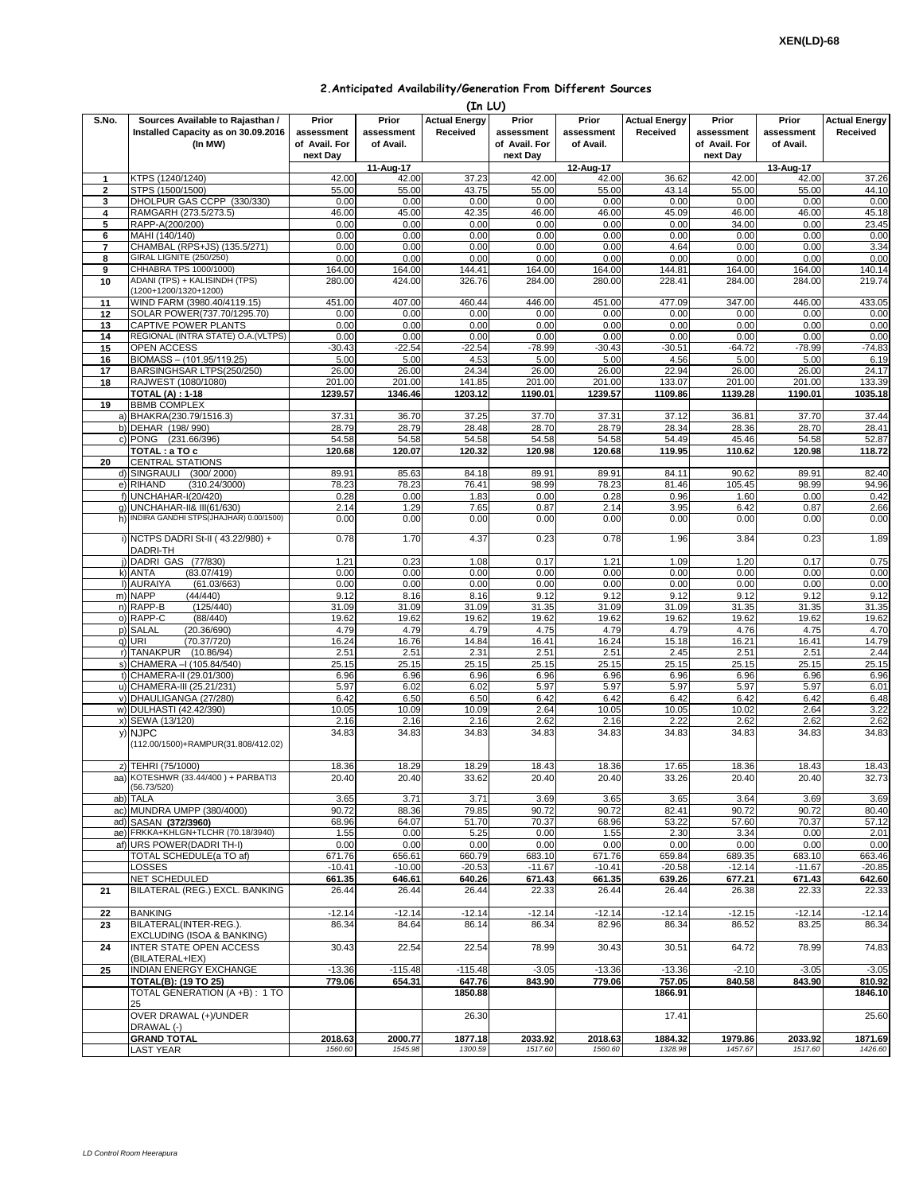## **2.Anticipated Availability/Generation From Different Sources**

|                | (In LU)                                |               |            |                      |               |            |                      |               |            |                      |
|----------------|----------------------------------------|---------------|------------|----------------------|---------------|------------|----------------------|---------------|------------|----------------------|
| S.No.          | Sources Available to Rajasthan /       | Prior         | Prior      | <b>Actual Energy</b> | Prior         | Prior      | <b>Actual Energy</b> | Prior         | Prior      | <b>Actual Energy</b> |
|                | Installed Capacity as on 30.09.2016    | assessment    | assessment | Received             | assessment    | assessment | Received             | assessment    | assessment | Received             |
|                | (In MW)                                | of Avail. For | of Avail.  |                      | of Avail. For | of Avail.  |                      | of Avail. For | of Avail.  |                      |
|                |                                        | next Dav      |            |                      | next Day      |            |                      | next Day      |            |                      |
|                |                                        |               | 11-Aug-17  |                      |               | 12-Aug-17  |                      |               | 13-Aug-17  |                      |
| 1              | KTPS (1240/1240)                       | 42.00         | 42.00      | 37.23                | 42.00         | 42.00      | 36.62                | 42.00         | 42.00      | 37.26                |
| $\overline{2}$ | STPS (1500/1500)                       | 55.00         | 55.00      | 43.75                | 55.00         | 55.00      | 43.14                | 55.00         | 55.00      | 44.10                |
| 3              | DHOLPUR GAS CCPP (330/330)             | 0.00          | 0.00       | 0.00                 | 0.00          | 0.00       | 0.00                 | 0.00          | 0.00       | 0.00                 |
| 4              | RAMGARH (273.5/273.5)                  | 46.00         | 45.00      | 42.35                | 46.00         | 46.00      | 45.09                | 46.00         | 46.00      | 45.18                |
| 5              | RAPP-A(200/200)                        | 0.00          | 0.00       | 0.00                 | 0.00          | 0.00       | 0.00                 | 34.00         | 0.00       | 23.45                |
|                |                                        | 0.00          | 0.00       | 0.00                 | 0.00          | 0.00       | 0.00                 | 0.00          | 0.00       |                      |
| 6              | MAHI (140/140)                         |               |            |                      |               |            |                      |               |            | 0.00                 |
| 7              | CHAMBAL (RPS+JS) (135.5/271)           | 0.00          | 0.00       | 0.00                 | 0.00          | 0.00       | 4.64                 | 0.00          | 0.00       | 3.34                 |
| 8              | <b>GIRAL LIGNITE (250/250)</b>         | 0.00          | 0.00       | 0.00                 | 0.00          | 0.00       | 0.00                 | 0.00          | 0.00       | 0.00                 |
| 9              | CHHABRA TPS 1000/1000)                 | 164.00        | 164.00     | 144.41               | 164.00        | 164.00     | 144.81               | 164.00        | 164.00     | 140.14               |
| 10             | ADANI (TPS) + KALISINDH (TPS)          | 280.00        | 424.00     | 326.76               | 284.00        | 280.00     | 228.41               | 284.00        | 284.00     | 219.74               |
|                | (1200+1200/1320+1200)                  |               |            |                      |               |            |                      |               |            |                      |
| 11             | WIND FARM (3980.40/4119.15)            | 451.00        | 407.00     | 460.44               | 446.00        | 451.00     | 477.09               | 347.00        | 446.00     | 433.05               |
| 12             | SOLAR POWER(737.70/1295.70)            | 0.00          | 0.00       | 0.00                 | 0.00          | 0.00       | 0.00                 | 0.00          | 0.00       | 0.00                 |
| 13             | CAPTIVE POWER PLANTS                   | 0.00          | 0.00       | 0.00                 | 0.00          | 0.00       | 0.00                 | 0.00          | 0.00       | 0.00                 |
| 14             | REGIONAL (INTRA STATE) O.A. (VLTPS)    | 0.00          | 0.00       | 0.00                 | 0.00          | 0.00       | 0.00                 | 0.00          | 0.00       | 0.00                 |
| 15             | OPEN ACCESS                            | $-30.43$      | $-22.54$   | $-22.54$             | $-78.99$      | $-30.43$   | $-30.51$             | $-64.72$      | $-78.99$   | $-74.83$             |
| 16             | BIOMASS - (101.95/119.25)              | 5.00          | 5.00       | 4.53                 | 5.00          | 5.00       | 4.56                 | 5.00          | 5.00       | 6.19                 |
| 17             | BARSINGHSAR LTPS(250/250)              | 26.00         | 26.00      | 24.34                | 26.00         | 26.00      | 22.94                | 26.00         | 26.00      | 24.17                |
| 18             | RAJWEST (1080/1080)                    | 201.00        | 201.00     | 141.85               | 201.00        | 201.00     | 133.07               | 201.00        | 201.00     | 133.39               |
|                | <b>TOTAL (A): 1-18</b>                 | 1239.57       | 1346.46    | 1203.12              | 1190.01       | 1239.57    | 1109.86              | 1139.28       | 1190.01    | 1035.18              |
| 19             | <b>BBMB COMPLEX</b>                    |               |            |                      |               |            |                      |               |            |                      |
|                | a) BHAKRA(230.79/1516.3)               | 37.31         | 36.70      | 37.25                | 37.70         | 37.31      | 37.12                | 36.81         | 37.70      | 37.44                |
|                | b) DEHAR (198/990)                     | 28.79         | 28.79      | 28.48                | 28.70         | 28.79      | 28.34                | 28.36         | 28.70      | 28.41                |
|                | c) PONG (231.66/396)                   | 54.58         | 54.58      | 54.58                | 54.58         | 54.58      | 54.49                | 45.46         | 54.58      | 52.87                |
|                | TOTAL : a TO c                         | 120.68        | 120.07     | 120.32               | 120.98        | 120.68     | 119.95               | 110.62        | 120.98     | 118.72               |
| 20             | <b>CENTRAL STATIONS</b>                |               |            |                      |               |            |                      |               |            |                      |
|                | d) SINGRAULI (300/2000)                |               |            |                      |               |            |                      |               |            |                      |
|                |                                        | 89.91         | 85.63      | 84.18                | 89.91         | 89.91      | 84.11                | 90.62         | 89.91      | 82.40                |
|                | e) RIHAND<br>(310.24/3000)             | 78.23         | 78.23      | 76.41                | 98.99         | 78.23      | 81.46                | 105.45        | 98.99      | 94.96                |
|                | f) UNCHAHAR-I(20/420)                  | 0.28          | 0.00       | 1.83                 | 0.00          | 0.28       | 0.96                 | 1.60          | 0.00       | 0.42                 |
|                | g) UNCHAHAR-II& III(61/630)            | 2.14          | 1.29       | 7.65                 | 0.87          | 2.14       | 3.95                 | 6.42          | 0.87       | 2.66                 |
| h)             | INDIRA GANDHI STPS(JHAJHAR) 0.00/1500) | 0.00          | 0.00       | 0.00                 | 0.00          | 0.00       | 0.00                 | 0.00          | 0.00       | 0.00                 |
|                |                                        |               |            |                      |               |            |                      |               |            |                      |
|                | i) NCTPS DADRI St-II (43.22/980) +     | 0.78          | 1.70       | 4.37                 | 0.23          | 0.78       | 1.96                 | 3.84          | 0.23       | 1.89                 |
|                | DADRI-TH                               |               |            |                      |               |            |                      |               |            |                      |
|                | j) DADRI GAS (77/830)                  | 1.21          | 0.23       | 1.08                 | 0.17          | 1.21       | 1.09                 | 1.20          | 0.17       | 0.75                 |
|                | k) ANTA<br>(83.07/419)                 | 0.00          | 0.00       | 0.00                 | 0.00          | 0.00       | 0.00                 | 0.00          | 0.00       | 0.00                 |
|                | I) AURAIYA<br>(61.03/663)              | 0.00          | 0.00       | 0.00                 | 0.00          | 0.00       | 0.00                 | 0.00          | 0.00       | 0.00                 |
|                | m) NAPP<br>(44/440)                    | 9.12          | 8.16       | 8.16                 | 9.12          | 9.12       | 9.12                 | 9.12          | 9.12       | 9.12                 |
|                | (125/440)<br>n) RAPP-B                 | 31.09         | 31.09      | 31.09                | 31.35         | 31.09      | 31.09                | 31.35         | 31.35      | 31.35                |
|                | o) RAPP-C<br>(88/440)                  | 19.62         | 19.62      | 19.62                | 19.62         | 19.62      | 19.62                | 19.62         | 19.62      | 19.62                |
|                | p) SALAL<br>(20.36/690)                | 4.79          | 4.79       | 4.79                 | 4.75          | 4.79       | 4.79                 | 4.76          | 4.75       | 4.70                 |
|                | q) URI<br>(70.37/720)                  | 16.24         | 16.76      | 14.84                | 16.41         | 16.24      | 15.18                | 16.21         | 16.41      | 14.79                |
|                | r) TANAKPUR<br>(10.86/94)              | 2.51          | 2.51       | 2.31                 | 2.51          | 2.51       | 2.45                 | 2.51          | 2.51       | 2.44                 |
|                | s) CHAMERA - (105.84/540)              | 25.15         | 25.15      | 25.15                | 25.15         | 25.15      | 25.15                | 25.15         | 25.15      | 25.15                |
|                | t) CHAMERA-II (29.01/300)              | 6.96          | 6.96       | 6.96                 | 6.96          | 6.96       | 6.96                 | 6.96          | 6.96       | 6.96                 |
|                | u) CHAMERA-III (25.21/231)             | 5.97          | 6.02       | 6.02                 | 5.97          | 5.97       | 5.97                 | 5.97          | 5.97       | 6.01                 |
|                | v) DHAULIGANGA (27/280)                | 6.42          | 6.50       | 6.50                 | 6.42          | 6.42       | 6.42                 | 6.42          | 6.42       | 6.48                 |
|                | w) DULHASTI (42.42/390)                | 10.05         | 10.09      | 10.09                | 2.64          | 10.05      | 10.05                | 10.02         | 2.64       | 3.22                 |
|                |                                        |               |            |                      |               |            |                      |               |            |                      |
|                | x) SEWA (13/120)                       | 2.16          | 2.16       | 2.16                 | 2.62          | 2.16       | 2.22                 | 2.62          | 2.62       | 2.62                 |
| y)             | <b>NJPC</b>                            | 34.83         | 34.83      | 34.83                | 34.83         | 34.83      | 34.83                | 34.83         | 34.83      | 34.83                |
|                | (112.00/1500)+RAMPUR(31.808/412.02)    |               |            |                      |               |            |                      |               |            |                      |
|                |                                        |               |            |                      |               |            |                      |               |            |                      |
|                | z) TEHRI (75/1000)                     | 18.36         | 18.29      | 18.29                | 18.43         | 18.36      | 17.65                | 18.36         | 18.43      | 18.43                |
|                | aa) KOTESHWR (33.44/400) + PARBATI3    | 20.40         | 20.40      | 33.62                | 20.40         | 20.40      | 33.26                | 20.40         | 20.40      | 32.73                |
|                | (56.73/520)                            |               |            |                      |               |            |                      |               |            |                      |
|                | ab) TALA                               | 3.65          | 3.71       | 3.71                 | 3.69          | 3.65       | 3.65                 | 3.64          | 3.69       | 3.69                 |
|                | ac) MUNDRA UMPP (380/4000)             | 90.72         | 88.36      | 79.85                | 90.72         | 90.72      | 82.41                | 90.72         | 90.72      | 80.40                |
|                | ad) SASAN (372/3960)                   | 68.96         | 64.07      | 51.70                | 70.37         | 68.96      | 53.22                | 57.60         | 70.37      | 57.12                |
|                | ae) FRKKA+KHLGN+TLCHR (70.18/3940)     | 1.55          | 0.00       | 5.25                 | 0.00          | 1.55       | 2.30                 | 3.34          | 0.00       | 2.01                 |
|                | af) URS POWER (DADRI TH-I)             | 0.00          | 0.00       | 0.00                 | 0.00          | 0.00       | 0.00                 | 0.00          | 0.00       | 0.00                 |
|                | TOTAL SCHEDULE(a TO af)                | 671.76        | 656.61     | 660.79               | 683.10        | 671.76     | 659.84               | 689.35        | 683.10     | 663.46               |
|                | LOSSES                                 | $-10.41$      | $-10.00$   | $-20.53$             | $-11.67$      | $-10.41$   | $-20.58$             | $-12.14$      | $-11.67$   | $-20.85$             |
|                | <b>NET SCHEDULED</b>                   | 661.35        | 646.61     | 640.26               | 671.43        | 661.35     | 639.26               | 677.21        | 671.43     | 642.60               |
| 21             | BILATERAL (REG.) EXCL. BANKING         | 26.44         | 26.44      | 26.44                | 22.33         | 26.44      | 26.44                | 26.38         | 22.33      | 22.33                |
|                |                                        |               |            |                      |               |            |                      |               |            |                      |
| 22             | <b>BANKING</b>                         | $-12.14$      | $-12.14$   | $-12.14$             | $-12.14$      | $-12.14$   | $-12.14$             | $-12.15$      | $-12.14$   | $-12.14$             |
| 23             | BILATERAL(INTER-REG.).                 | 86.34         | 84.64      | 86.14                | 86.34         | 82.96      | 86.34                | 86.52         | 83.25      | 86.34                |
|                | EXCLUDING (ISOA & BANKING)             |               |            |                      |               |            |                      |               |            |                      |
| 24             | <b>INTER STATE OPEN ACCESS</b>         | 30.43         | 22.54      | 22.54                | 78.99         | 30.43      | 30.51                | 64.72         | 78.99      | 74.83                |
|                | (BILATERAL+IEX)                        |               |            |                      |               |            |                      |               |            |                      |
| 25             | INDIAN ENERGY EXCHANGE                 | $-13.36$      | $-115.48$  | $-115.48$            | $-3.05$       | $-13.36$   | $-13.36$             | $-2.10$       | $-3.05$    | $-3.05$              |
|                | <b>TOTAL(B): (19 TO 25)</b>            | 779.06        | 654.31     | 647.76               | 843.90        | 779.06     | 757.05               | 840.58        | 843.90     | 810.92               |
|                | TOTAL GENERATION (A +B) : 1 TO         |               |            |                      |               |            | 1866.91              |               |            | 1846.10              |
|                | 25                                     |               |            | 1850.88              |               |            |                      |               |            |                      |
|                |                                        |               |            |                      |               |            |                      |               |            |                      |
|                | OVER DRAWAL (+)/UNDER                  |               |            | 26.30                |               |            | 17.41                |               |            | 25.60                |
|                | DRAWAL (-)                             |               |            |                      |               |            |                      |               |            |                      |
|                | <b>GRAND TOTAL</b>                     | 2018.63       | 2000.77    | 1877.18              | 2033.92       | 2018.63    | 1884.32              | 1979.86       | 2033.92    | 1871.69              |
|                | LAST YEAR                              | 1560.60       | 1545.98    | 1300.59              | 1517.60       | 1560.60    | 1328.98              | 1457.67       | 1517.60    | 1426.60              |